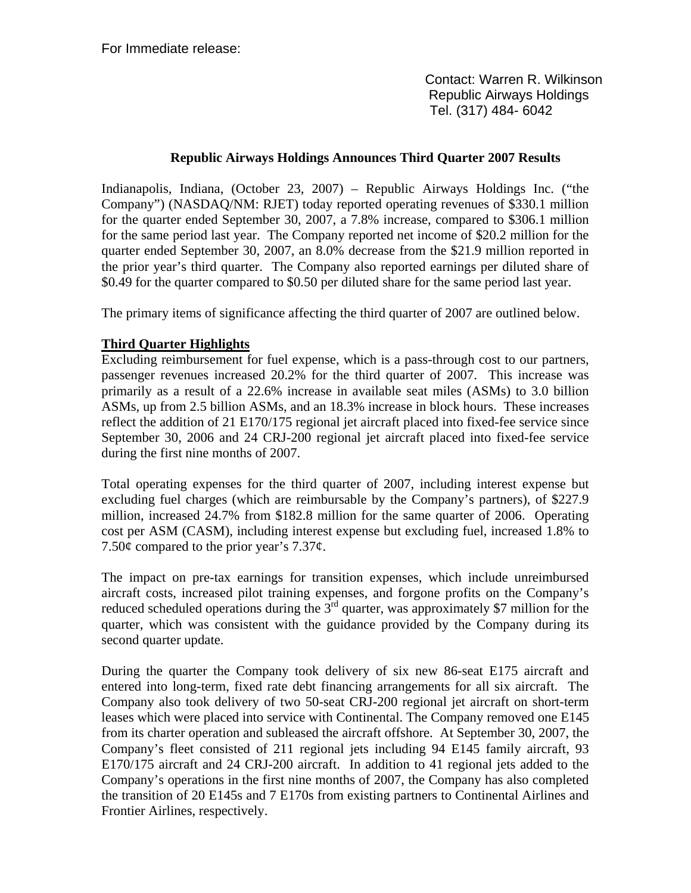For Immediate release:

 Contact: Warren R. Wilkinson Republic Airways Holdings Tel. (317) 484- 6042

# **Republic Airways Holdings Announces Third Quarter 2007 Results**

Indianapolis, Indiana, (October 23, 2007) – Republic Airways Holdings Inc. ("the Company") (NASDAQ/NM: RJET) today reported operating revenues of \$330.1 million for the quarter ended September 30, 2007, a 7.8% increase, compared to \$306.1 million for the same period last year. The Company reported net income of \$20.2 million for the quarter ended September 30, 2007, an 8.0% decrease from the \$21.9 million reported in the prior year's third quarter. The Company also reported earnings per diluted share of \$0.49 for the quarter compared to \$0.50 per diluted share for the same period last year.

The primary items of significance affecting the third quarter of 2007 are outlined below.

# **Third Quarter Highlights**

Excluding reimbursement for fuel expense, which is a pass-through cost to our partners, passenger revenues increased 20.2% for the third quarter of 2007. This increase was primarily as a result of a 22.6% increase in available seat miles (ASMs) to 3.0 billion ASMs, up from 2.5 billion ASMs, and an 18.3% increase in block hours. These increases reflect the addition of 21 E170/175 regional jet aircraft placed into fixed-fee service since September 30, 2006 and 24 CRJ-200 regional jet aircraft placed into fixed-fee service during the first nine months of 2007.

Total operating expenses for the third quarter of 2007, including interest expense but excluding fuel charges (which are reimbursable by the Company's partners), of \$227.9 million, increased 24.7% from \$182.8 million for the same quarter of 2006. Operating cost per ASM (CASM), including interest expense but excluding fuel, increased 1.8% to 7.50 $\epsilon$  compared to the prior year's 7.37 $\epsilon$ .

The impact on pre-tax earnings for transition expenses, which include unreimbursed aircraft costs, increased pilot training expenses, and forgone profits on the Company's reduced scheduled operations during the  $3<sup>rd</sup>$  quarter, was approximately \$7 million for the quarter, which was consistent with the guidance provided by the Company during its second quarter update.

During the quarter the Company took delivery of six new 86-seat E175 aircraft and entered into long-term, fixed rate debt financing arrangements for all six aircraft. The Company also took delivery of two 50-seat CRJ-200 regional jet aircraft on short-term leases which were placed into service with Continental. The Company removed one E145 from its charter operation and subleased the aircraft offshore. At September 30, 2007, the Company's fleet consisted of 211 regional jets including 94 E145 family aircraft, 93 E170/175 aircraft and 24 CRJ-200 aircraft. In addition to 41 regional jets added to the Company's operations in the first nine months of 2007, the Company has also completed the transition of 20 E145s and 7 E170s from existing partners to Continental Airlines and Frontier Airlines, respectively.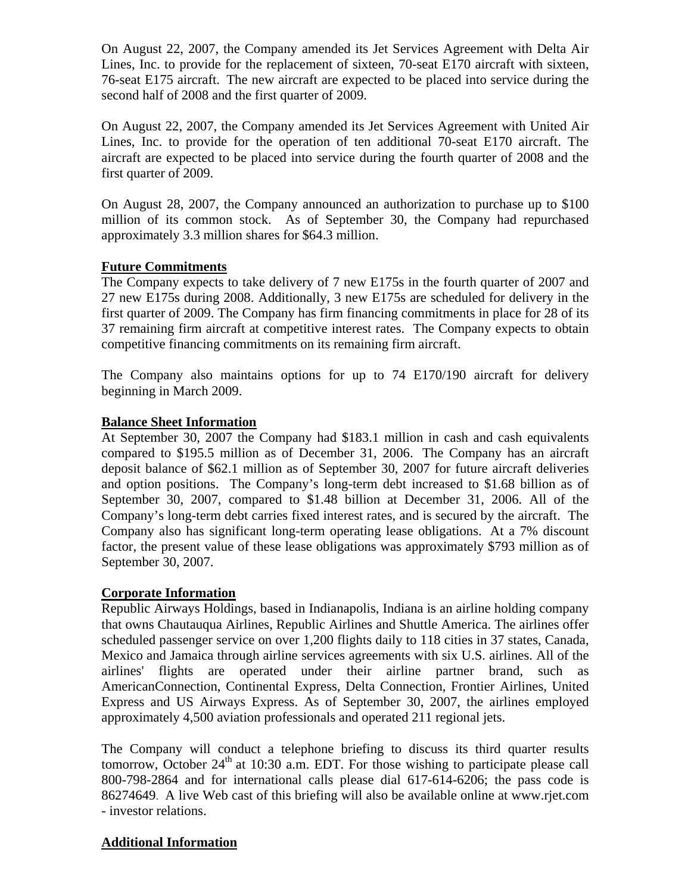On August 22, 2007, the Company amended its Jet Services Agreement with Delta Air Lines, Inc. to provide for the replacement of sixteen, 70-seat E170 aircraft with sixteen, 76-seat E175 aircraft. The new aircraft are expected to be placed into service during the second half of 2008 and the first quarter of 2009.

On August 22, 2007, the Company amended its Jet Services Agreement with United Air Lines, Inc. to provide for the operation of ten additional 70-seat E170 aircraft. The aircraft are expected to be placed into service during the fourth quarter of 2008 and the first quarter of 2009.

On August 28, 2007, the Company announced an authorization to purchase up to \$100 million of its common stock. As of September 30, the Company had repurchased approximately 3.3 million shares for \$64.3 million.

# **Future Commitments**

The Company expects to take delivery of 7 new E175s in the fourth quarter of 2007 and 27 new E175s during 2008. Additionally, 3 new E175s are scheduled for delivery in the first quarter of 2009. The Company has firm financing commitments in place for 28 of its 37 remaining firm aircraft at competitive interest rates. The Company expects to obtain competitive financing commitments on its remaining firm aircraft.

The Company also maintains options for up to 74 E170/190 aircraft for delivery beginning in March 2009.

# **Balance Sheet Information**

At September 30, 2007 the Company had \$183.1 million in cash and cash equivalents compared to \$195.5 million as of December 31, 2006. The Company has an aircraft deposit balance of \$62.1 million as of September 30, 2007 for future aircraft deliveries and option positions. The Company's long-term debt increased to \$1.68 billion as of September 30, 2007, compared to \$1.48 billion at December 31, 2006. All of the Company's long-term debt carries fixed interest rates, and is secured by the aircraft. The Company also has significant long-term operating lease obligations. At a 7% discount factor, the present value of these lease obligations was approximately \$793 million as of September 30, 2007.

### **Corporate Information**

Republic Airways Holdings, based in Indianapolis, Indiana is an airline holding company that owns Chautauqua Airlines, Republic Airlines and Shuttle America. The airlines offer scheduled passenger service on over 1,200 flights daily to 118 cities in 37 states, Canada, Mexico and Jamaica through airline services agreements with six U.S. airlines. All of the airlines' flights are operated under their airline partner brand, such as AmericanConnection, Continental Express, Delta Connection, Frontier Airlines, United Express and US Airways Express. As of September 30, 2007, the airlines employed approximately 4,500 aviation professionals and operated 211 regional jets.

The Company will conduct a telephone briefing to discuss its third quarter results tomorrow, October  $24<sup>th</sup>$  at 10:30 a.m. EDT. For those wishing to participate please call 800-798-2864 and for international calls please dial 617-614-6206; the pass code is 86274649. A live Web cast of this briefing will also be available online at www.rjet.com - investor relations.

### **Additional Information**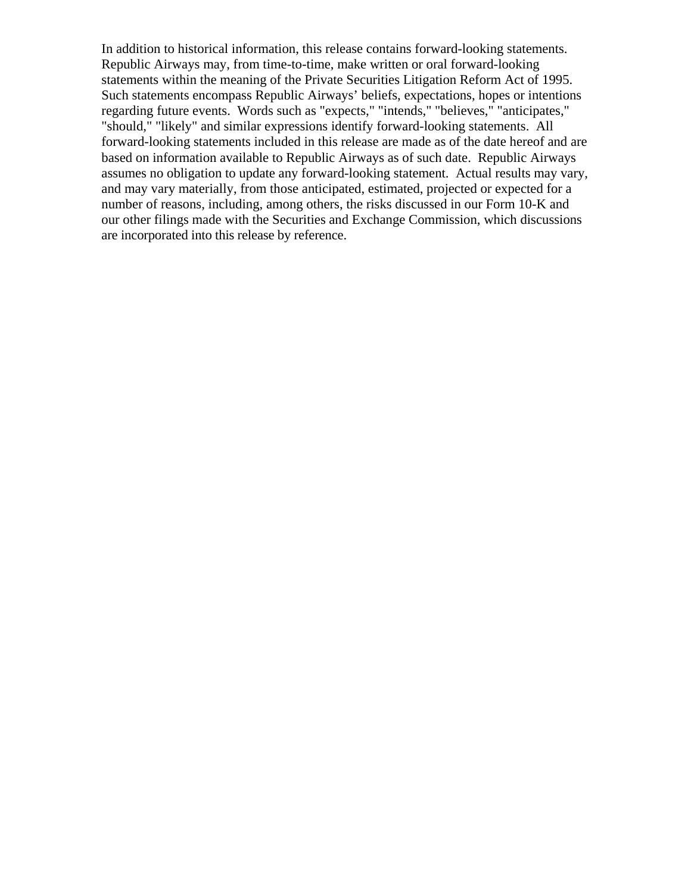In addition to historical information, this release contains forward-looking statements. Republic Airways may, from time-to-time, make written or oral forward-looking statements within the meaning of the Private Securities Litigation Reform Act of 1995. Such statements encompass Republic Airways' beliefs, expectations, hopes or intentions regarding future events. Words such as "expects," "intends," "believes," "anticipates," "should," "likely" and similar expressions identify forward-looking statements. All forward-looking statements included in this release are made as of the date hereof and are based on information available to Republic Airways as of such date. Republic Airways assumes no obligation to update any forward-looking statement. Actual results may vary, and may vary materially, from those anticipated, estimated, projected or expected for a number of reasons, including, among others, the risks discussed in our Form 10-K and our other filings made with the Securities and Exchange Commission, which discussions are incorporated into this release by reference.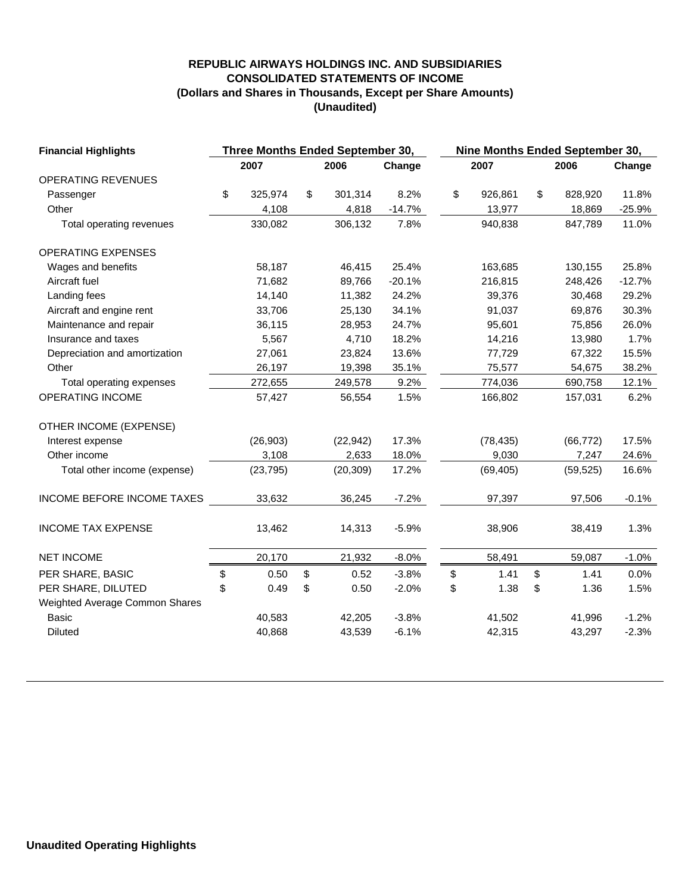### **REPUBLIC AIRWAYS HOLDINGS INC. AND SUBSIDIARIES CONSOLIDATED STATEMENTS OF INCOME (Dollars and Shares in Thousands, Except per Share Amounts) (Unaudited)**

| <b>Financial Highlights</b>                          | Three Months Ended September 30, |           |    |           |          |      | Nine Months Ended September 30, |    |           |          |  |
|------------------------------------------------------|----------------------------------|-----------|----|-----------|----------|------|---------------------------------|----|-----------|----------|--|
|                                                      |                                  | 2007      |    | 2006      | Change   | 2007 |                                 |    | 2006      | Change   |  |
| OPERATING REVENUES                                   |                                  |           |    |           |          |      |                                 |    |           |          |  |
| Passenger                                            | \$                               | 325,974   | \$ | 301,314   | 8.2%     | \$   | 926,861                         | \$ | 828,920   | 11.8%    |  |
| Other                                                |                                  | 4,108     |    | 4,818     | $-14.7%$ |      | 13,977                          |    | 18,869    | $-25.9%$ |  |
| Total operating revenues                             |                                  | 330,082   |    | 306,132   | 7.8%     |      | 940,838                         |    | 847,789   | 11.0%    |  |
| <b>OPERATING EXPENSES</b>                            |                                  |           |    |           |          |      |                                 |    |           |          |  |
| Wages and benefits                                   |                                  | 58,187    |    | 46,415    | 25.4%    |      | 163,685                         |    | 130,155   | 25.8%    |  |
| Aircraft fuel                                        |                                  | 71,682    |    | 89,766    | $-20.1%$ |      | 216,815                         |    | 248,426   | $-12.7%$ |  |
| Landing fees                                         |                                  | 14,140    |    | 11,382    | 24.2%    |      | 39,376                          |    | 30,468    | 29.2%    |  |
| Aircraft and engine rent                             |                                  | 33,706    |    | 25,130    | 34.1%    |      | 91,037                          |    | 69,876    | 30.3%    |  |
| Maintenance and repair                               |                                  | 36,115    |    | 28,953    | 24.7%    |      | 95,601                          |    | 75,856    | 26.0%    |  |
| Insurance and taxes                                  |                                  | 5,567     |    | 4,710     | 18.2%    |      | 14,216                          |    | 13,980    | 1.7%     |  |
| Depreciation and amortization                        |                                  | 27,061    |    | 23,824    | 13.6%    |      | 77,729                          |    | 67,322    | 15.5%    |  |
| Other                                                |                                  | 26,197    |    | 19,398    | 35.1%    |      | 75,577                          |    | 54,675    | 38.2%    |  |
| Total operating expenses                             |                                  | 272,655   |    | 249,578   | 9.2%     |      | 774,036                         |    | 690,758   | 12.1%    |  |
| OPERATING INCOME                                     |                                  | 57,427    |    | 56,554    | 1.5%     |      | 166,802                         |    | 157,031   | 6.2%     |  |
| OTHER INCOME (EXPENSE)                               |                                  |           |    |           |          |      |                                 |    |           |          |  |
| Interest expense                                     |                                  | (26, 903) |    | (22, 942) | 17.3%    |      | (78, 435)                       |    | (66, 772) | 17.5%    |  |
| Other income                                         |                                  | 3,108     |    | 2,633     | 18.0%    |      | 9,030                           |    | 7,247     | 24.6%    |  |
| Total other income (expense)                         |                                  | (23, 795) |    | (20, 309) | 17.2%    |      | (69, 405)                       |    | (59, 525) | 16.6%    |  |
| INCOME BEFORE INCOME TAXES                           |                                  | 33,632    |    | 36,245    | $-7.2%$  |      | 97,397                          |    | 97,506    | $-0.1%$  |  |
| <b>INCOME TAX EXPENSE</b>                            |                                  | 13,462    |    | 14,313    | $-5.9%$  |      | 38,906                          |    | 38,419    | 1.3%     |  |
| <b>NET INCOME</b>                                    |                                  | 20,170    |    | 21,932    | $-8.0%$  |      | 58,491                          |    | 59,087    | $-1.0%$  |  |
| PER SHARE, BASIC                                     | \$                               | 0.50      | \$ | 0.52      | $-3.8%$  | \$   | 1.41                            | \$ | 1.41      | 0.0%     |  |
| PER SHARE, DILUTED<br>Weighted Average Common Shares | \$                               | 0.49      | \$ | 0.50      | $-2.0%$  | \$   | 1.38                            | \$ | 1.36      | 1.5%     |  |
| <b>Basic</b>                                         |                                  | 40,583    |    | 42,205    | $-3.8%$  |      | 41,502                          |    | 41,996    | $-1.2%$  |  |
| <b>Diluted</b>                                       |                                  | 40,868    |    | 43,539    | $-6.1%$  |      | 42,315                          |    | 43,297    | $-2.3%$  |  |